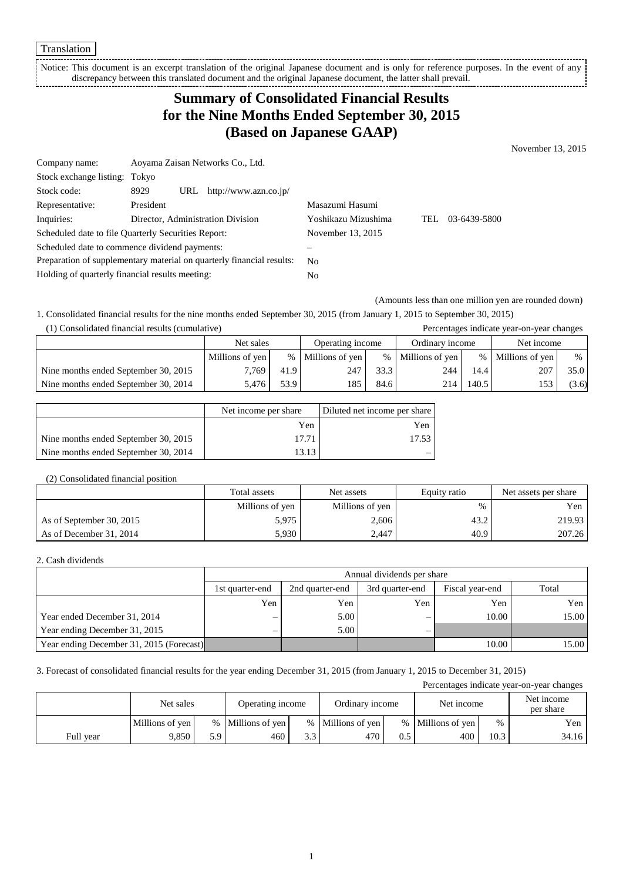Translation

Notice: This document is an excerpt translation of the original Japanese document and is only for reference purposes. In the event of any discrepancy between this translated document and the original Japanese document, the latter shall prevail.

## **Summary of Consolidated Financial Results for the Nine Months Ended September 30, 2015 (Based on Japanese GAAP)**

November 13, 2015

| Company name:                                                         |           | Aoyama Zaisan Networks Co., Ltd.  |                     |      |              |
|-----------------------------------------------------------------------|-----------|-----------------------------------|---------------------|------|--------------|
| Stock exchange listing: Tokyo                                         |           |                                   |                     |      |              |
| Stock code:                                                           | 8929      | URL $http://www.azn.co.jp/$       |                     |      |              |
| Representative:                                                       | President |                                   | Masazumi Hasumi     |      |              |
| Inquiries:                                                            |           | Director, Administration Division | Yoshikazu Mizushima | TEL. | 03-6439-5800 |
| Scheduled date to file Quarterly Securities Report:                   |           | November 13, 2015                 |                     |      |              |
| Scheduled date to commence dividend payments:                         |           |                                   |                     |      |              |
| Preparation of supplementary material on quarterly financial results: |           | N <sub>0</sub>                    |                     |      |              |
| Holding of quarterly financial results meeting:                       |           | No                                |                     |      |              |

(Amounts less than one million yen are rounded down)

1. Consolidated financial results for the nine months ended September 30, 2015 (from January 1, 2015 to September 30, 2015) (1) Consolidated financial results (cumulative) Percentages indicate year-on-year changes

|                                      | Net sales       |      | Operating income  |      | Ordinary income   |       | ັ<br>Net income   |       |
|--------------------------------------|-----------------|------|-------------------|------|-------------------|-------|-------------------|-------|
|                                      | Millions of yen |      | % Millions of yen |      | % Millions of yen |       | % Millions of yen | %     |
| Nine months ended September 30, 2015 | 7,769           | 41.9 | 247               | 33.3 | 244               | 14.4  | 207               | 35.0  |
| Nine months ended September 30, 2014 | 5.476           | 53.9 | 185               | 84.6 | 214               | 140.5 |                   | (3.6) |

|                                      | Net income per share | Diluted net income per share |
|--------------------------------------|----------------------|------------------------------|
|                                      | Yen                  | Yen                          |
| Nine months ended September 30, 2015 | 17.71                | 17.53                        |
| Nine months ended September 30, 2014 |                      |                              |

### (2) Consolidated financial position

|                          | Total assets    | Net assets      | Equity ratio | Net assets per share |
|--------------------------|-----------------|-----------------|--------------|----------------------|
|                          | Millions of yen | Millions of yen | $\%$         | Yen                  |
| As of September 30, 2015 | 5.975           | 2,606           | 43.2         | 219.93               |
| As of December 31, 2014  | 5,930           | 2,447           | 40.9         | 207.26               |

#### 2. Cash dividends

|                                          |                   | Annual dividends per share |                 |                 |       |  |  |
|------------------------------------------|-------------------|----------------------------|-----------------|-----------------|-------|--|--|
|                                          | 1st quarter-end   | 2nd quarter-end            | 3rd quarter-end | Fiscal year-end | Total |  |  |
|                                          | Yen               | Yen                        | Yen             | Yen             | Yen   |  |  |
| Year ended December 31, 2014             | $\hspace{0.05cm}$ | 5.00                       | -               | 10.00           | 15.00 |  |  |
| Year ending December 31, 2015            | —                 | 5.00                       | -               |                 |       |  |  |
| Year ending December 31, 2015 (Forecast) |                   |                            |                 | 10.00           | 15.00 |  |  |

3. Forecast of consolidated financial results for the year ending December 31, 2015 (from January 1, 2015 to December 31, 2015)

Percentages indicate year-on-year changes Net sales Operating income Ordinary income Net income Net income Net income per share Millions of yen  $\begin{array}{c|c|c|c|c|c} \hline \end{array}$  % | Millions of yen  $\begin{array}{c|c|c|c} \hline \end{array}$  % | Millions of yen  $\begin{array}{c|c|c} \hline \end{array}$  % | Millions of yen  $\begin{array}{c|c|c} \hline \end{array}$  Yen Full year  $\begin{array}{|c|c|c|c|c|c|c|c|c|} \hline \end{array}$  9,850  $\begin{array}{|c|c|c|c|c|c|} \hline \end{array}$  5.9 460  $\begin{array}{|c|c|c|c|c|} \hline \end{array}$  3.3 470  $\begin{array}{|c|c|c|c|c|} \hline \end{array}$  400 10.3 34.16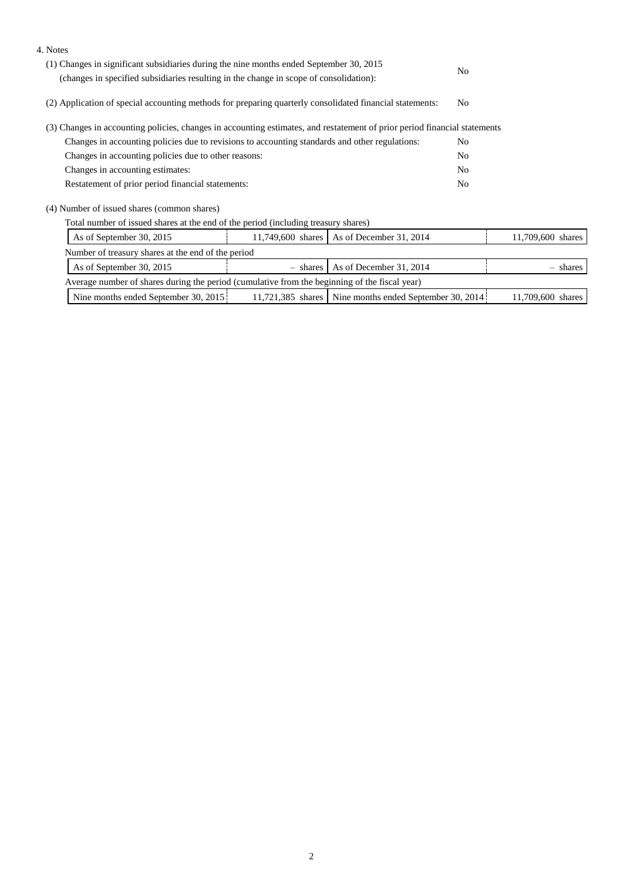| (1) Changes in significant subsidiaries during the nine months ended September 30, 2015<br>No<br>(changes in specified subsidiaries resulting in the change in scope of consolidation):<br>(2) Application of special accounting methods for preparing quarterly consolidated financial statements:<br>N <sub>0</sub><br>(3) Changes in accounting policies, changes in accounting estimates, and restatement of prior period financial statements<br>Changes in accounting policies due to revisions to accounting standards and other regulations:<br>N <sub>0</sub><br>Changes in accounting policies due to other reasons:<br>N <sub>0</sub><br>Changes in accounting estimates:<br>N <sub>0</sub><br>Restatement of prior period financial statements:<br>N <sub>0</sub><br>(4) Number of issued shares (common shares)<br>Total number of issued shares at the end of the period (including treasury shares) |
|--------------------------------------------------------------------------------------------------------------------------------------------------------------------------------------------------------------------------------------------------------------------------------------------------------------------------------------------------------------------------------------------------------------------------------------------------------------------------------------------------------------------------------------------------------------------------------------------------------------------------------------------------------------------------------------------------------------------------------------------------------------------------------------------------------------------------------------------------------------------------------------------------------------------|
|                                                                                                                                                                                                                                                                                                                                                                                                                                                                                                                                                                                                                                                                                                                                                                                                                                                                                                                    |
|                                                                                                                                                                                                                                                                                                                                                                                                                                                                                                                                                                                                                                                                                                                                                                                                                                                                                                                    |
|                                                                                                                                                                                                                                                                                                                                                                                                                                                                                                                                                                                                                                                                                                                                                                                                                                                                                                                    |
|                                                                                                                                                                                                                                                                                                                                                                                                                                                                                                                                                                                                                                                                                                                                                                                                                                                                                                                    |
|                                                                                                                                                                                                                                                                                                                                                                                                                                                                                                                                                                                                                                                                                                                                                                                                                                                                                                                    |
|                                                                                                                                                                                                                                                                                                                                                                                                                                                                                                                                                                                                                                                                                                                                                                                                                                                                                                                    |
|                                                                                                                                                                                                                                                                                                                                                                                                                                                                                                                                                                                                                                                                                                                                                                                                                                                                                                                    |
|                                                                                                                                                                                                                                                                                                                                                                                                                                                                                                                                                                                                                                                                                                                                                                                                                                                                                                                    |
|                                                                                                                                                                                                                                                                                                                                                                                                                                                                                                                                                                                                                                                                                                                                                                                                                                                                                                                    |
| As of September 30, 2015<br>11,749,600 shares<br>As of December 31, 2014<br>11,709,600 shares                                                                                                                                                                                                                                                                                                                                                                                                                                                                                                                                                                                                                                                                                                                                                                                                                      |
| Number of treasury shares at the end of the period                                                                                                                                                                                                                                                                                                                                                                                                                                                                                                                                                                                                                                                                                                                                                                                                                                                                 |
| As of September 30, 2015<br>As of December 31, 2014<br>$-$ shares<br>- shares                                                                                                                                                                                                                                                                                                                                                                                                                                                                                                                                                                                                                                                                                                                                                                                                                                      |
| Average number of shares during the period (cumulative from the beginning of the fiscal year)                                                                                                                                                                                                                                                                                                                                                                                                                                                                                                                                                                                                                                                                                                                                                                                                                      |

| 38 <sup>4</sup><br>2014.<br>201'<br>30.<br>30<br>months<br>N <sub>1</sub> ne<br>shares<br>September<br>ember<br>N1ne<br>. endec<br>endec<br>Senten<br>months | .60C<br>700<br>shares |
|--------------------------------------------------------------------------------------------------------------------------------------------------------------|-----------------------|
|--------------------------------------------------------------------------------------------------------------------------------------------------------------|-----------------------|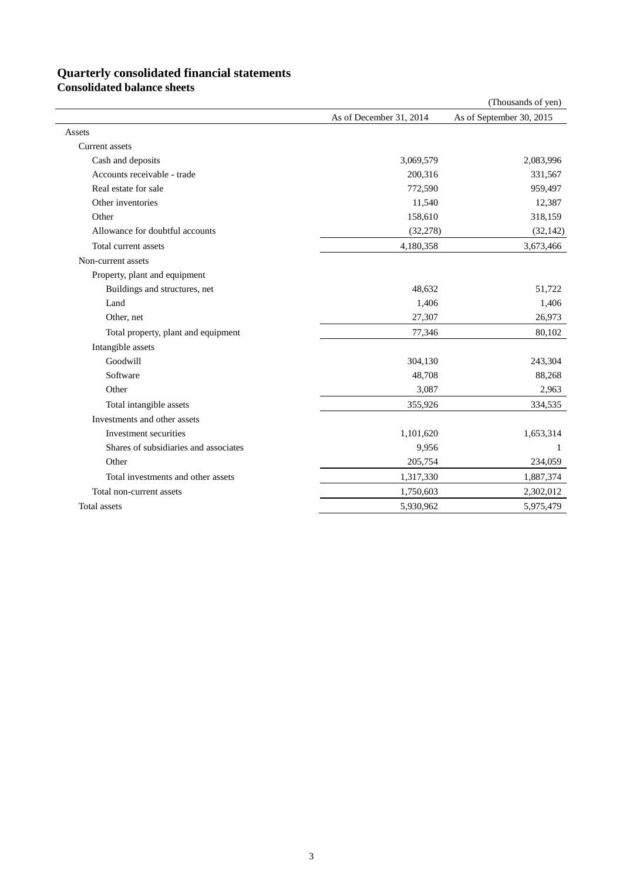# **Quarterly consolidated financial statements**

**Consolidated balance sheets**

|                                       |                         | (Thousands of yen)       |
|---------------------------------------|-------------------------|--------------------------|
|                                       | As of December 31, 2014 | As of September 30, 2015 |
| Assets                                |                         |                          |
| Current assets                        |                         |                          |
| Cash and deposits                     | 3,069,579               | 2,083,996                |
| Accounts receivable - trade           | 200,316                 | 331,567                  |
| Real estate for sale                  | 772,590                 | 959,497                  |
| Other inventories                     | 11,540                  | 12,387                   |
| Other                                 | 158,610                 | 318,159                  |
| Allowance for doubtful accounts       | (32, 278)               | (32, 142)                |
| Total current assets                  | 4,180,358               | 3,673,466                |
| Non-current assets                    |                         |                          |
| Property, plant and equipment         |                         |                          |
| Buildings and structures, net         | 48,632                  | 51,722                   |
| Land                                  | 1,406                   | 1,406                    |
| Other, net                            | 27,307                  | 26,973                   |
| Total property, plant and equipment   | 77,346                  | 80,102                   |
| Intangible assets                     |                         |                          |
| Goodwill                              | 304,130                 | 243,304                  |
| Software                              | 48,708                  | 88,268                   |
| Other                                 | 3,087                   | 2,963                    |
| Total intangible assets               | 355,926                 | 334,535                  |
| Investments and other assets          |                         |                          |
| Investment securities                 | 1,101,620               | 1,653,314                |
| Shares of subsidiaries and associates | 9,956                   | 1                        |
| Other                                 | 205,754                 | 234,059                  |
| Total investments and other assets    | 1,317,330               | 1,887,374                |
| Total non-current assets              | 1,750,603               | 2,302,012                |
| Total assets                          | 5,930,962               | 5,975,479                |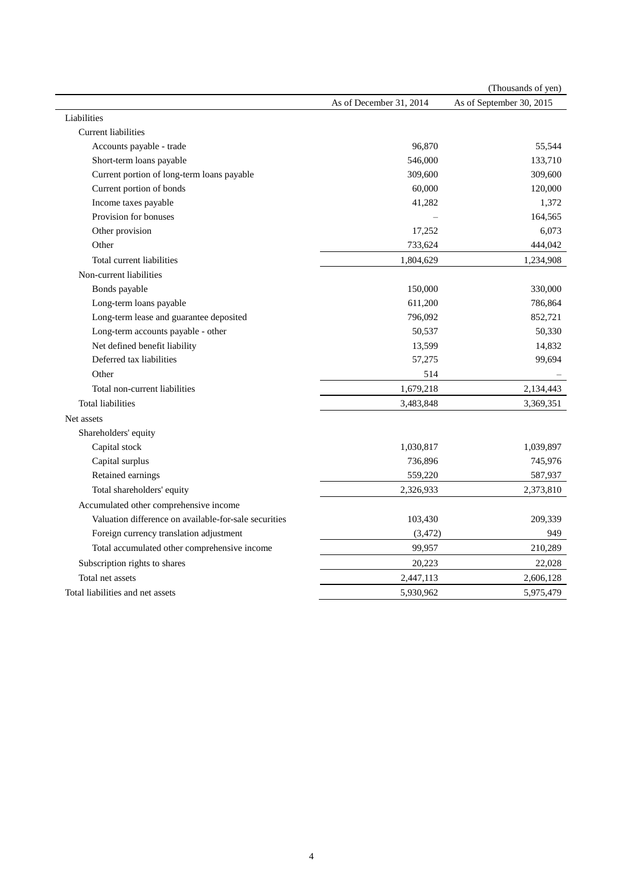|                                                       |                         | (Thousands of yen)       |
|-------------------------------------------------------|-------------------------|--------------------------|
|                                                       | As of December 31, 2014 | As of September 30, 2015 |
| Liabilities                                           |                         |                          |
| <b>Current liabilities</b>                            |                         |                          |
| Accounts payable - trade                              | 96,870                  | 55,544                   |
| Short-term loans payable                              | 546,000                 | 133,710                  |
| Current portion of long-term loans payable            | 309,600                 | 309,600                  |
| Current portion of bonds                              | 60,000                  | 120,000                  |
| Income taxes payable                                  | 41,282                  | 1,372                    |
| Provision for bonuses                                 |                         | 164,565                  |
| Other provision                                       | 17,252                  | 6,073                    |
| Other                                                 | 733,624                 | 444,042                  |
| Total current liabilities                             | 1,804,629               | 1,234,908                |
| Non-current liabilities                               |                         |                          |
| Bonds payable                                         | 150,000                 | 330,000                  |
| Long-term loans payable                               | 611,200                 | 786,864                  |
| Long-term lease and guarantee deposited               | 796,092                 | 852,721                  |
| Long-term accounts payable - other                    | 50,537                  | 50,330                   |
| Net defined benefit liability                         | 13,599                  | 14,832                   |
| Deferred tax liabilities                              | 57,275                  | 99,694                   |
| Other                                                 | 514                     |                          |
| Total non-current liabilities                         | 1,679,218               | 2,134,443                |
| <b>Total liabilities</b>                              | 3,483,848               | 3,369,351                |
| Net assets                                            |                         |                          |
| Shareholders' equity                                  |                         |                          |
| Capital stock                                         | 1,030,817               | 1,039,897                |
| Capital surplus                                       | 736,896                 | 745,976                  |
| Retained earnings                                     | 559,220                 | 587,937                  |
| Total shareholders' equity                            | 2,326,933               | 2,373,810                |
| Accumulated other comprehensive income                |                         |                          |
| Valuation difference on available-for-sale securities | 103,430                 | 209,339                  |
| Foreign currency translation adjustment               | (3, 472)                | 949                      |
| Total accumulated other comprehensive income          | 99,957                  | 210,289                  |
| Subscription rights to shares                         | 20,223                  | 22,028                   |
| Total net assets                                      | 2,447,113               | 2,606,128                |
| Total liabilities and net assets                      | 5,930,962               | 5,975,479                |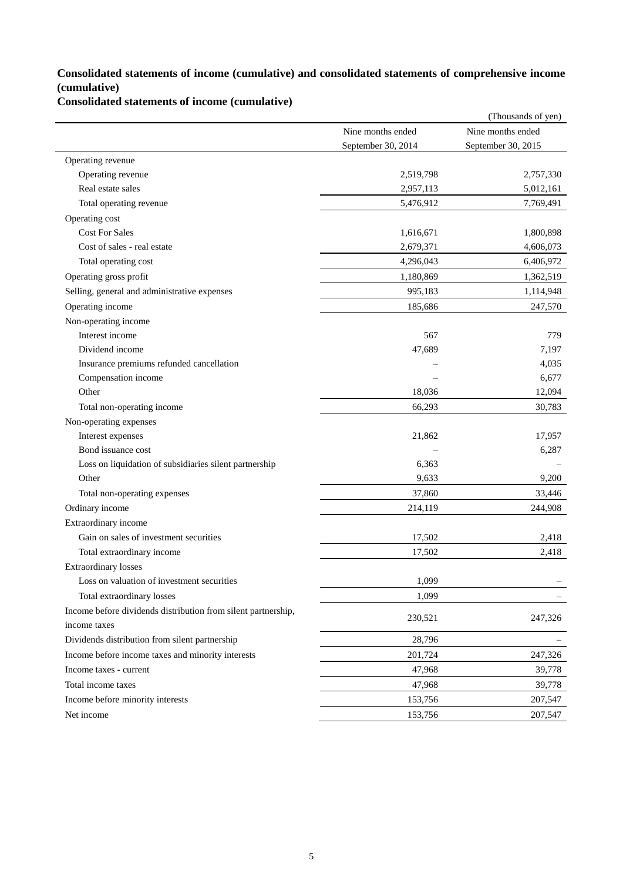### **Consolidated statements of income (cumulative) and consolidated statements of comprehensive income (cumulative)**

**Consolidated statements of income (cumulative)**

| Nine months ended<br>Nine months ended<br>September 30, 2014<br>September 30, 2015<br>Operating revenue<br>Operating revenue<br>2,519,798<br>2,757,330<br>Real estate sales<br>2,957,113<br>5,012,161<br>5,476,912<br>Total operating revenue<br>7,769,491<br>Operating cost<br><b>Cost For Sales</b><br>1,616,671<br>1,800,898<br>Cost of sales - real estate<br>2,679,371<br>4,606,073<br>Total operating cost<br>4,296,043<br>6,406,972<br>Operating gross profit<br>1,180,869<br>1,362,519<br>995,183<br>Selling, general and administrative expenses<br>1,114,948<br>Operating income<br>185,686<br>247,570<br>Non-operating income<br>Interest income<br>567<br>779<br>Dividend income<br>47,689<br>7,197<br>Insurance premiums refunded cancellation<br>4,035<br>Compensation income<br>6,677<br>Other<br>12,094<br>18,036<br>Total non-operating income<br>66,293<br>30,783<br>Non-operating expenses<br>Interest expenses<br>21,862<br>17,957<br>Bond issuance cost<br>6,287<br>6,363<br>Loss on liquidation of subsidiaries silent partnership<br>Other<br>9,633<br>9,200<br>37,860<br>33,446<br>Total non-operating expenses<br>Ordinary income<br>244,908<br>214,119<br>Extraordinary income<br>Gain on sales of investment securities<br>17,502<br>2,418<br>Total extraordinary income<br>17,502<br>2,418<br><b>Extraordinary losses</b><br>Loss on valuation of investment securities<br>1,099<br>Total extraordinary losses<br>1,099<br>Income before dividends distribution from silent partnership,<br>230,521<br>247,326<br>income taxes<br>Dividends distribution from silent partnership<br>28,796<br>Income before income taxes and minority interests<br>201,724<br>247,326<br>47,968<br>39,778<br>Income taxes - current<br>Total income taxes<br>39,778<br>47,968<br>Income before minority interests<br>153,756<br>207,547<br>Net income<br>153,756<br>207,547 |  | (Thousands of yen) |
|-----------------------------------------------------------------------------------------------------------------------------------------------------------------------------------------------------------------------------------------------------------------------------------------------------------------------------------------------------------------------------------------------------------------------------------------------------------------------------------------------------------------------------------------------------------------------------------------------------------------------------------------------------------------------------------------------------------------------------------------------------------------------------------------------------------------------------------------------------------------------------------------------------------------------------------------------------------------------------------------------------------------------------------------------------------------------------------------------------------------------------------------------------------------------------------------------------------------------------------------------------------------------------------------------------------------------------------------------------------------------------------------------------------------------------------------------------------------------------------------------------------------------------------------------------------------------------------------------------------------------------------------------------------------------------------------------------------------------------------------------------------------------------------------------------------------------------------------------------------------------------------------|--|--------------------|
|                                                                                                                                                                                                                                                                                                                                                                                                                                                                                                                                                                                                                                                                                                                                                                                                                                                                                                                                                                                                                                                                                                                                                                                                                                                                                                                                                                                                                                                                                                                                                                                                                                                                                                                                                                                                                                                                                         |  |                    |
|                                                                                                                                                                                                                                                                                                                                                                                                                                                                                                                                                                                                                                                                                                                                                                                                                                                                                                                                                                                                                                                                                                                                                                                                                                                                                                                                                                                                                                                                                                                                                                                                                                                                                                                                                                                                                                                                                         |  |                    |
|                                                                                                                                                                                                                                                                                                                                                                                                                                                                                                                                                                                                                                                                                                                                                                                                                                                                                                                                                                                                                                                                                                                                                                                                                                                                                                                                                                                                                                                                                                                                                                                                                                                                                                                                                                                                                                                                                         |  |                    |
|                                                                                                                                                                                                                                                                                                                                                                                                                                                                                                                                                                                                                                                                                                                                                                                                                                                                                                                                                                                                                                                                                                                                                                                                                                                                                                                                                                                                                                                                                                                                                                                                                                                                                                                                                                                                                                                                                         |  |                    |
|                                                                                                                                                                                                                                                                                                                                                                                                                                                                                                                                                                                                                                                                                                                                                                                                                                                                                                                                                                                                                                                                                                                                                                                                                                                                                                                                                                                                                                                                                                                                                                                                                                                                                                                                                                                                                                                                                         |  |                    |
|                                                                                                                                                                                                                                                                                                                                                                                                                                                                                                                                                                                                                                                                                                                                                                                                                                                                                                                                                                                                                                                                                                                                                                                                                                                                                                                                                                                                                                                                                                                                                                                                                                                                                                                                                                                                                                                                                         |  |                    |
|                                                                                                                                                                                                                                                                                                                                                                                                                                                                                                                                                                                                                                                                                                                                                                                                                                                                                                                                                                                                                                                                                                                                                                                                                                                                                                                                                                                                                                                                                                                                                                                                                                                                                                                                                                                                                                                                                         |  |                    |
|                                                                                                                                                                                                                                                                                                                                                                                                                                                                                                                                                                                                                                                                                                                                                                                                                                                                                                                                                                                                                                                                                                                                                                                                                                                                                                                                                                                                                                                                                                                                                                                                                                                                                                                                                                                                                                                                                         |  |                    |
|                                                                                                                                                                                                                                                                                                                                                                                                                                                                                                                                                                                                                                                                                                                                                                                                                                                                                                                                                                                                                                                                                                                                                                                                                                                                                                                                                                                                                                                                                                                                                                                                                                                                                                                                                                                                                                                                                         |  |                    |
|                                                                                                                                                                                                                                                                                                                                                                                                                                                                                                                                                                                                                                                                                                                                                                                                                                                                                                                                                                                                                                                                                                                                                                                                                                                                                                                                                                                                                                                                                                                                                                                                                                                                                                                                                                                                                                                                                         |  |                    |
|                                                                                                                                                                                                                                                                                                                                                                                                                                                                                                                                                                                                                                                                                                                                                                                                                                                                                                                                                                                                                                                                                                                                                                                                                                                                                                                                                                                                                                                                                                                                                                                                                                                                                                                                                                                                                                                                                         |  |                    |
|                                                                                                                                                                                                                                                                                                                                                                                                                                                                                                                                                                                                                                                                                                                                                                                                                                                                                                                                                                                                                                                                                                                                                                                                                                                                                                                                                                                                                                                                                                                                                                                                                                                                                                                                                                                                                                                                                         |  |                    |
|                                                                                                                                                                                                                                                                                                                                                                                                                                                                                                                                                                                                                                                                                                                                                                                                                                                                                                                                                                                                                                                                                                                                                                                                                                                                                                                                                                                                                                                                                                                                                                                                                                                                                                                                                                                                                                                                                         |  |                    |
|                                                                                                                                                                                                                                                                                                                                                                                                                                                                                                                                                                                                                                                                                                                                                                                                                                                                                                                                                                                                                                                                                                                                                                                                                                                                                                                                                                                                                                                                                                                                                                                                                                                                                                                                                                                                                                                                                         |  |                    |
|                                                                                                                                                                                                                                                                                                                                                                                                                                                                                                                                                                                                                                                                                                                                                                                                                                                                                                                                                                                                                                                                                                                                                                                                                                                                                                                                                                                                                                                                                                                                                                                                                                                                                                                                                                                                                                                                                         |  |                    |
|                                                                                                                                                                                                                                                                                                                                                                                                                                                                                                                                                                                                                                                                                                                                                                                                                                                                                                                                                                                                                                                                                                                                                                                                                                                                                                                                                                                                                                                                                                                                                                                                                                                                                                                                                                                                                                                                                         |  |                    |
|                                                                                                                                                                                                                                                                                                                                                                                                                                                                                                                                                                                                                                                                                                                                                                                                                                                                                                                                                                                                                                                                                                                                                                                                                                                                                                                                                                                                                                                                                                                                                                                                                                                                                                                                                                                                                                                                                         |  |                    |
|                                                                                                                                                                                                                                                                                                                                                                                                                                                                                                                                                                                                                                                                                                                                                                                                                                                                                                                                                                                                                                                                                                                                                                                                                                                                                                                                                                                                                                                                                                                                                                                                                                                                                                                                                                                                                                                                                         |  |                    |
|                                                                                                                                                                                                                                                                                                                                                                                                                                                                                                                                                                                                                                                                                                                                                                                                                                                                                                                                                                                                                                                                                                                                                                                                                                                                                                                                                                                                                                                                                                                                                                                                                                                                                                                                                                                                                                                                                         |  |                    |
|                                                                                                                                                                                                                                                                                                                                                                                                                                                                                                                                                                                                                                                                                                                                                                                                                                                                                                                                                                                                                                                                                                                                                                                                                                                                                                                                                                                                                                                                                                                                                                                                                                                                                                                                                                                                                                                                                         |  |                    |
|                                                                                                                                                                                                                                                                                                                                                                                                                                                                                                                                                                                                                                                                                                                                                                                                                                                                                                                                                                                                                                                                                                                                                                                                                                                                                                                                                                                                                                                                                                                                                                                                                                                                                                                                                                                                                                                                                         |  |                    |
|                                                                                                                                                                                                                                                                                                                                                                                                                                                                                                                                                                                                                                                                                                                                                                                                                                                                                                                                                                                                                                                                                                                                                                                                                                                                                                                                                                                                                                                                                                                                                                                                                                                                                                                                                                                                                                                                                         |  |                    |
|                                                                                                                                                                                                                                                                                                                                                                                                                                                                                                                                                                                                                                                                                                                                                                                                                                                                                                                                                                                                                                                                                                                                                                                                                                                                                                                                                                                                                                                                                                                                                                                                                                                                                                                                                                                                                                                                                         |  |                    |
|                                                                                                                                                                                                                                                                                                                                                                                                                                                                                                                                                                                                                                                                                                                                                                                                                                                                                                                                                                                                                                                                                                                                                                                                                                                                                                                                                                                                                                                                                                                                                                                                                                                                                                                                                                                                                                                                                         |  |                    |
|                                                                                                                                                                                                                                                                                                                                                                                                                                                                                                                                                                                                                                                                                                                                                                                                                                                                                                                                                                                                                                                                                                                                                                                                                                                                                                                                                                                                                                                                                                                                                                                                                                                                                                                                                                                                                                                                                         |  |                    |
|                                                                                                                                                                                                                                                                                                                                                                                                                                                                                                                                                                                                                                                                                                                                                                                                                                                                                                                                                                                                                                                                                                                                                                                                                                                                                                                                                                                                                                                                                                                                                                                                                                                                                                                                                                                                                                                                                         |  |                    |
|                                                                                                                                                                                                                                                                                                                                                                                                                                                                                                                                                                                                                                                                                                                                                                                                                                                                                                                                                                                                                                                                                                                                                                                                                                                                                                                                                                                                                                                                                                                                                                                                                                                                                                                                                                                                                                                                                         |  |                    |
|                                                                                                                                                                                                                                                                                                                                                                                                                                                                                                                                                                                                                                                                                                                                                                                                                                                                                                                                                                                                                                                                                                                                                                                                                                                                                                                                                                                                                                                                                                                                                                                                                                                                                                                                                                                                                                                                                         |  |                    |
|                                                                                                                                                                                                                                                                                                                                                                                                                                                                                                                                                                                                                                                                                                                                                                                                                                                                                                                                                                                                                                                                                                                                                                                                                                                                                                                                                                                                                                                                                                                                                                                                                                                                                                                                                                                                                                                                                         |  |                    |
|                                                                                                                                                                                                                                                                                                                                                                                                                                                                                                                                                                                                                                                                                                                                                                                                                                                                                                                                                                                                                                                                                                                                                                                                                                                                                                                                                                                                                                                                                                                                                                                                                                                                                                                                                                                                                                                                                         |  |                    |
|                                                                                                                                                                                                                                                                                                                                                                                                                                                                                                                                                                                                                                                                                                                                                                                                                                                                                                                                                                                                                                                                                                                                                                                                                                                                                                                                                                                                                                                                                                                                                                                                                                                                                                                                                                                                                                                                                         |  |                    |
|                                                                                                                                                                                                                                                                                                                                                                                                                                                                                                                                                                                                                                                                                                                                                                                                                                                                                                                                                                                                                                                                                                                                                                                                                                                                                                                                                                                                                                                                                                                                                                                                                                                                                                                                                                                                                                                                                         |  |                    |
|                                                                                                                                                                                                                                                                                                                                                                                                                                                                                                                                                                                                                                                                                                                                                                                                                                                                                                                                                                                                                                                                                                                                                                                                                                                                                                                                                                                                                                                                                                                                                                                                                                                                                                                                                                                                                                                                                         |  |                    |
|                                                                                                                                                                                                                                                                                                                                                                                                                                                                                                                                                                                                                                                                                                                                                                                                                                                                                                                                                                                                                                                                                                                                                                                                                                                                                                                                                                                                                                                                                                                                                                                                                                                                                                                                                                                                                                                                                         |  |                    |
|                                                                                                                                                                                                                                                                                                                                                                                                                                                                                                                                                                                                                                                                                                                                                                                                                                                                                                                                                                                                                                                                                                                                                                                                                                                                                                                                                                                                                                                                                                                                                                                                                                                                                                                                                                                                                                                                                         |  |                    |
|                                                                                                                                                                                                                                                                                                                                                                                                                                                                                                                                                                                                                                                                                                                                                                                                                                                                                                                                                                                                                                                                                                                                                                                                                                                                                                                                                                                                                                                                                                                                                                                                                                                                                                                                                                                                                                                                                         |  |                    |
|                                                                                                                                                                                                                                                                                                                                                                                                                                                                                                                                                                                                                                                                                                                                                                                                                                                                                                                                                                                                                                                                                                                                                                                                                                                                                                                                                                                                                                                                                                                                                                                                                                                                                                                                                                                                                                                                                         |  |                    |
|                                                                                                                                                                                                                                                                                                                                                                                                                                                                                                                                                                                                                                                                                                                                                                                                                                                                                                                                                                                                                                                                                                                                                                                                                                                                                                                                                                                                                                                                                                                                                                                                                                                                                                                                                                                                                                                                                         |  |                    |
|                                                                                                                                                                                                                                                                                                                                                                                                                                                                                                                                                                                                                                                                                                                                                                                                                                                                                                                                                                                                                                                                                                                                                                                                                                                                                                                                                                                                                                                                                                                                                                                                                                                                                                                                                                                                                                                                                         |  |                    |
|                                                                                                                                                                                                                                                                                                                                                                                                                                                                                                                                                                                                                                                                                                                                                                                                                                                                                                                                                                                                                                                                                                                                                                                                                                                                                                                                                                                                                                                                                                                                                                                                                                                                                                                                                                                                                                                                                         |  |                    |
|                                                                                                                                                                                                                                                                                                                                                                                                                                                                                                                                                                                                                                                                                                                                                                                                                                                                                                                                                                                                                                                                                                                                                                                                                                                                                                                                                                                                                                                                                                                                                                                                                                                                                                                                                                                                                                                                                         |  |                    |